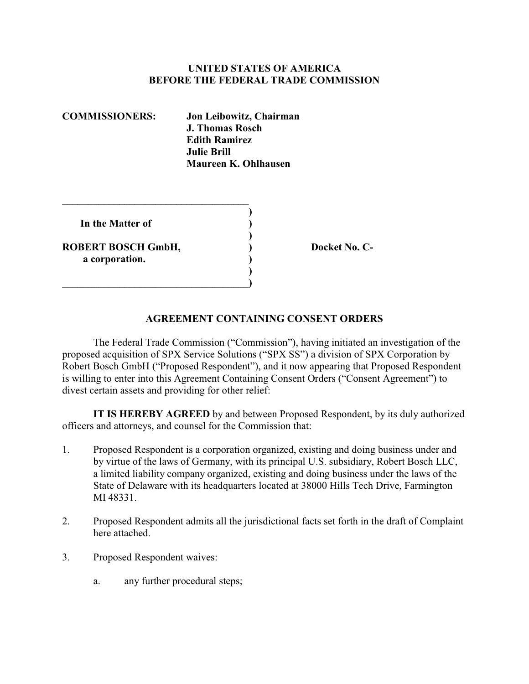# **UNITED STATES OF AMERICA BEFORE THE FEDERAL TRADE COMMISSION**

| <b>COMMISSIONERS:</b>                | Jon Leibowitz, Chairman<br>J. Thomas Rosch<br><b>Edith Ramirez</b><br><b>Julie Brill</b><br>Maureen K. Ohlhausen |
|--------------------------------------|------------------------------------------------------------------------------------------------------------------|
| In the Matter of                     |                                                                                                                  |
| ROBERT BOSCH GmbH,<br>a corporation. |                                                                                                                  |

**Docket No. C-**

# **AGREEMENT CONTAINING CONSENT ORDERS**

The Federal Trade Commission ("Commission"), having initiated an investigation of the proposed acquisition of SPX Service Solutions ("SPX SS") a division of SPX Corporation by Robert Bosch GmbH ("Proposed Respondent"), and it now appearing that Proposed Respondent is willing to enter into this Agreement Containing Consent Orders ("Consent Agreement") to divest certain assets and providing for other relief:

**IT IS HEREBY AGREED** by and between Proposed Respondent, by its duly authorized officers and attorneys, and counsel for the Commission that:

- 1. Proposed Respondent is a corporation organized, existing and doing business under and by virtue of the laws of Germany, with its principal U.S. subsidiary, Robert Bosch LLC, a limited liability company organized, existing and doing business under the laws of the State of Delaware with its headquarters located at 38000 Hills Tech Drive, Farmington MI 48331.
- 2. Proposed Respondent admits all the jurisdictional facts set forth in the draft of Complaint here attached.
- 3. Proposed Respondent waives:
	- a. any further procedural steps;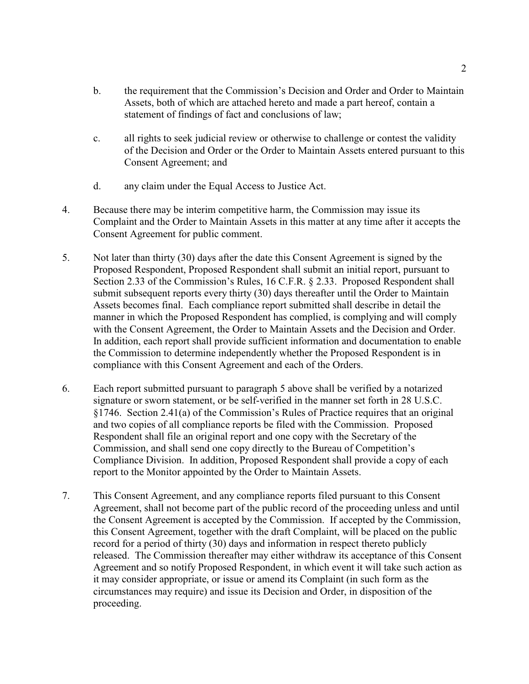- b. the requirement that the Commission's Decision and Order and Order to Maintain Assets, both of which are attached hereto and made a part hereof, contain a statement of findings of fact and conclusions of law;
- c. all rights to seek judicial review or otherwise to challenge or contest the validity of the Decision and Order or the Order to Maintain Assets entered pursuant to this Consent Agreement; and
- d. any claim under the Equal Access to Justice Act.
- 4. Because there may be interim competitive harm, the Commission may issue its Complaint and the Order to Maintain Assets in this matter at any time after it accepts the Consent Agreement for public comment.
- 5. Not later than thirty (30) days after the date this Consent Agreement is signed by the Proposed Respondent, Proposed Respondent shall submit an initial report, pursuant to Section 2.33 of the Commission's Rules, 16 C.F.R. § 2.33. Proposed Respondent shall submit subsequent reports every thirty (30) days thereafter until the Order to Maintain Assets becomes final. Each compliance report submitted shall describe in detail the manner in which the Proposed Respondent has complied, is complying and will comply with the Consent Agreement, the Order to Maintain Assets and the Decision and Order. In addition, each report shall provide sufficient information and documentation to enable the Commission to determine independently whether the Proposed Respondent is in compliance with this Consent Agreement and each of the Orders.
- 6. Each report submitted pursuant to paragraph 5 above shall be verified by a notarized signature or sworn statement, or be self-verified in the manner set forth in 28 U.S.C. §1746. Section 2.41(a) of the Commission's Rules of Practice requires that an original and two copies of all compliance reports be filed with the Commission. Proposed Respondent shall file an original report and one copy with the Secretary of the Commission, and shall send one copy directly to the Bureau of Competition's Compliance Division. In addition, Proposed Respondent shall provide a copy of each report to the Monitor appointed by the Order to Maintain Assets.
- 7. This Consent Agreement, and any compliance reports filed pursuant to this Consent Agreement, shall not become part of the public record of the proceeding unless and until the Consent Agreement is accepted by the Commission. If accepted by the Commission, this Consent Agreement, together with the draft Complaint, will be placed on the public record for a period of thirty (30) days and information in respect thereto publicly released. The Commission thereafter may either withdraw its acceptance of this Consent Agreement and so notify Proposed Respondent, in which event it will take such action as it may consider appropriate, or issue or amend its Complaint (in such form as the circumstances may require) and issue its Decision and Order, in disposition of the proceeding.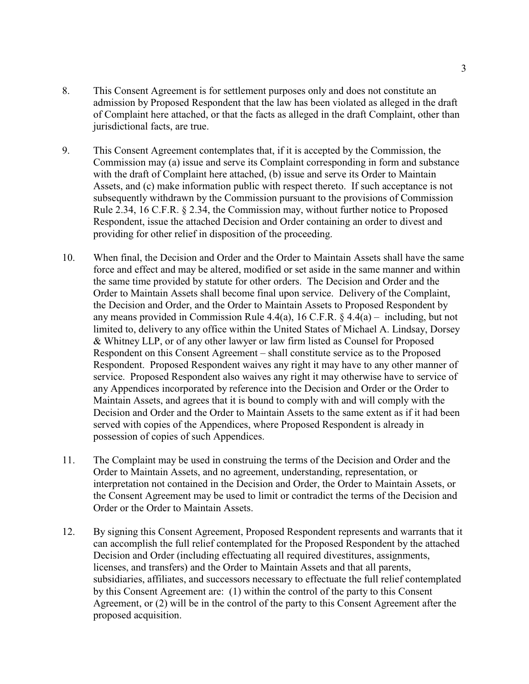- 8. This Consent Agreement is for settlement purposes only and does not constitute an admission by Proposed Respondent that the law has been violated as alleged in the draft of Complaint here attached, or that the facts as alleged in the draft Complaint, other than jurisdictional facts, are true.
- 9. This Consent Agreement contemplates that, if it is accepted by the Commission, the Commission may (a) issue and serve its Complaint corresponding in form and substance with the draft of Complaint here attached, (b) issue and serve its Order to Maintain Assets, and (c) make information public with respect thereto. If such acceptance is not subsequently withdrawn by the Commission pursuant to the provisions of Commission Rule 2.34, 16 C.F.R. § 2.34, the Commission may, without further notice to Proposed Respondent, issue the attached Decision and Order containing an order to divest and providing for other relief in disposition of the proceeding.
- 10. When final, the Decision and Order and the Order to Maintain Assets shall have the same force and effect and may be altered, modified or set aside in the same manner and within the same time provided by statute for other orders. The Decision and Order and the Order to Maintain Assets shall become final upon service. Delivery of the Complaint, the Decision and Order, and the Order to Maintain Assets to Proposed Respondent by any means provided in Commission Rule 4.4(a), 16 C.F.R. § 4.4(a) – including, but not limited to, delivery to any office within the United States of Michael A. Lindsay, Dorsey & Whitney LLP, or of any other lawyer or law firm listed as Counsel for Proposed Respondent on this Consent Agreement – shall constitute service as to the Proposed Respondent. Proposed Respondent waives any right it may have to any other manner of service. Proposed Respondent also waives any right it may otherwise have to service of any Appendices incorporated by reference into the Decision and Order or the Order to Maintain Assets, and agrees that it is bound to comply with and will comply with the Decision and Order and the Order to Maintain Assets to the same extent as if it had been served with copies of the Appendices, where Proposed Respondent is already in possession of copies of such Appendices.
- 11. The Complaint may be used in construing the terms of the Decision and Order and the Order to Maintain Assets, and no agreement, understanding, representation, or interpretation not contained in the Decision and Order, the Order to Maintain Assets, or the Consent Agreement may be used to limit or contradict the terms of the Decision and Order or the Order to Maintain Assets.
- 12. By signing this Consent Agreement, Proposed Respondent represents and warrants that it can accomplish the full relief contemplated for the Proposed Respondent by the attached Decision and Order (including effectuating all required divestitures, assignments, licenses, and transfers) and the Order to Maintain Assets and that all parents, subsidiaries, affiliates, and successors necessary to effectuate the full relief contemplated by this Consent Agreement are: (1) within the control of the party to this Consent Agreement, or (2) will be in the control of the party to this Consent Agreement after the proposed acquisition.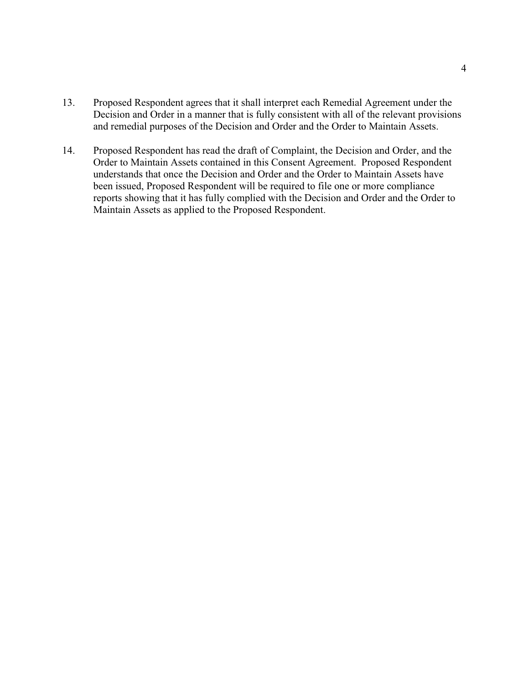- 13. Proposed Respondent agrees that it shall interpret each Remedial Agreement under the Decision and Order in a manner that is fully consistent with all of the relevant provisions and remedial purposes of the Decision and Order and the Order to Maintain Assets.
- 14. Proposed Respondent has read the draft of Complaint, the Decision and Order, and the Order to Maintain Assets contained in this Consent Agreement. Proposed Respondent understands that once the Decision and Order and the Order to Maintain Assets have been issued, Proposed Respondent will be required to file one or more compliance reports showing that it has fully complied with the Decision and Order and the Order to Maintain Assets as applied to the Proposed Respondent.